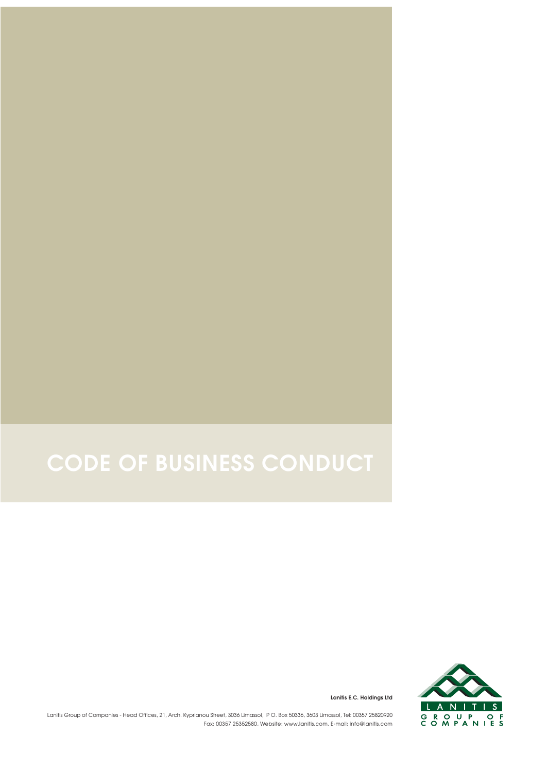## **CODE OF BUSINESS CONDUCT**



**Lanitis E.C. Holdings Ltd**

Lanitis Group of Companies - Head Offices, 21, Arch. Kyprianou Street, 3036 Limassol, PO. Box 50336, 3603 Limassol, Tel: 00357 25820920 Fax: 00357 25352580, Website: www.lanitis.com, E-mail: info@lanitis.com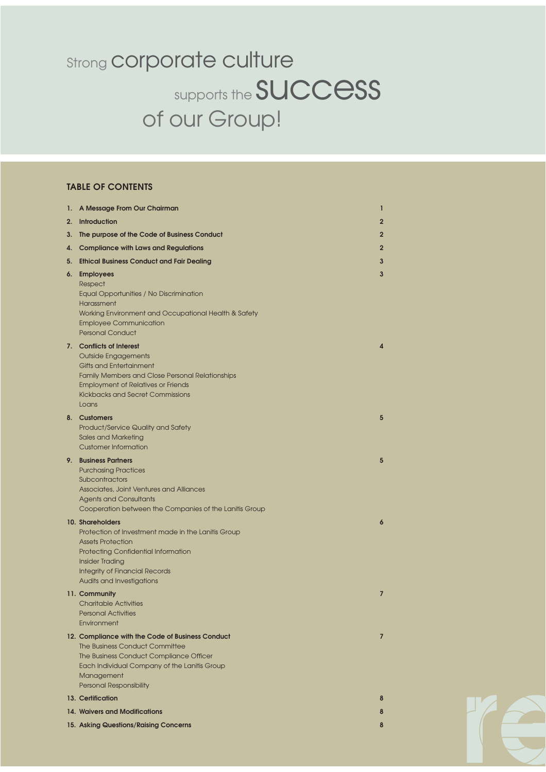### supports the **SUCCESS** of our Group! **Strong corporate culture**

#### **TABLE OF CONTENTS**

| 1. | A Message From Our Chairman                                                                                                                                                                                                                      | 1              |
|----|--------------------------------------------------------------------------------------------------------------------------------------------------------------------------------------------------------------------------------------------------|----------------|
| 2. | <b>Introduction</b>                                                                                                                                                                                                                              | $\mathbf{2}$   |
| 3. | The purpose of the Code of Business Conduct                                                                                                                                                                                                      | $\mathbf{2}$   |
| 4. | <b>Compliance with Laws and Regulations</b>                                                                                                                                                                                                      | $\overline{2}$ |
| 5. | <b>Ethical Business Conduct and Fair Dealing</b>                                                                                                                                                                                                 | 3              |
| 6. | <b>Employees</b><br>Respect<br>Equal Opportunities / No Discrimination<br>Harassment<br>Working Environment and Occupational Health & Safety<br><b>Employee Communication</b><br><b>Personal Conduct</b>                                         | 3              |
|    | 7. Conflicts of Interest<br><b>Outside Engagements</b><br><b>Gifts and Entertainment</b><br><b>Family Members and Close Personal Relationships</b><br><b>Employment of Relatives or Friends</b><br>Kickbacks and Secret Commissions<br>Loans     | 4              |
|    | 8. Customers<br>Product/Service Quality and Safety<br>Sales and Marketing<br><b>Customer Information</b>                                                                                                                                         | 5              |
|    | 9. Business Partners<br><b>Purchasing Practices</b><br>Subcontractors<br>Associates, Joint Ventures and Alliances<br><b>Agents and Consultants</b><br>Cooperation between the Companies of the Lanitis Group                                     | 5              |
|    | 10. Shareholders<br>Protection of Investment made in the Lanitis Group<br><b>Assets Protection</b><br><b>Protecting Confidential Information</b><br><b>Insider Trading</b><br><b>Integrity of Financial Records</b><br>Audits and Investigations | 6              |
|    | 11. Community<br><b>Charitable Activities</b><br><b>Personal Activities</b><br>Environment                                                                                                                                                       | 7              |
|    | 12. Compliance with the Code of Business Conduct<br>The Business Conduct Committee<br>The Business Conduct Compliance Officer<br>Each Individual Company of the Lanitis Group<br>Management<br><b>Personal Responsibility</b>                    | $\overline{7}$ |
|    | 13. Certification                                                                                                                                                                                                                                | 8              |
|    | 14. Waivers and Modifications                                                                                                                                                                                                                    | 8              |
|    | 15. Asking Questions/Raising Concerns                                                                                                                                                                                                            | 8              |

**rrespect e**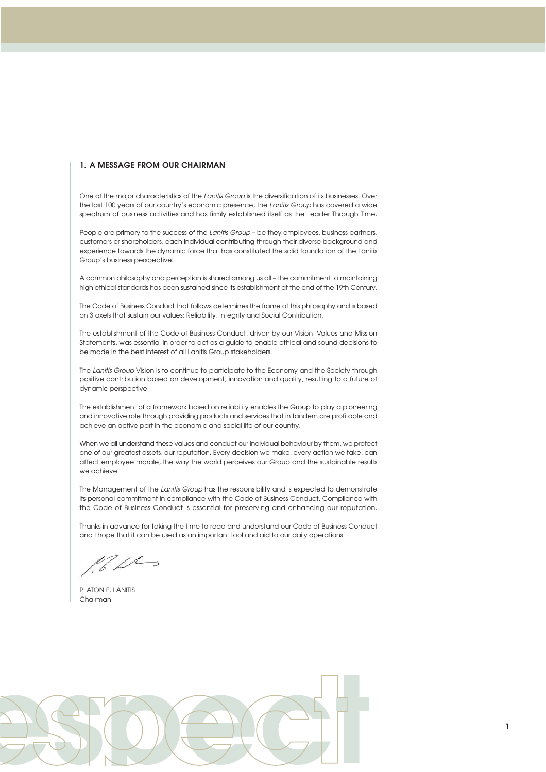#### **1. A MESSAGE FROM OUR CHAIRMAN**

One of the major characteristics of the *Lanitis Group* is the diversification of its businesses. Over the last 100 years of our country's economic presence, the *Lanitis Group* has covered a wide spectrum of business activities and has firmly established itself as the Leader Through Time.

People are primary to the success of the *Lanitis Group* – be they employees, business partners, customers or shareholders, each individual contributing through their diverse background and experience towards the dynamic force that has constituted the solid foundation of the Lanitis Group's business perspective.

A common philosophy and perception is shared among us all – the commitment to maintaining high ethical standards has been sustained since its establishment at the end of the 19th Century.

The Code of Business Conduct that follows determines the frame of this philosophy and is based on 3 axels that sustain our values: Reliability, Integrity and Social Contribution.

The establishment of the Code of Business Conduct, driven by our Vision, Values and Mission Statements, was essential in order to act as a guide to enable ethical and sound decisions to be made in the best interest of all Lanitis Group stakeholders.

The *Lanitis Group* Vision is to continue to participate to the Economy and the Society through positive contribution based on development, innovation and quality, resulting to a future of dynamic perspective.

The establishment of a framework based on reliability enables the Group to play a pioneering and innovative role through providing products and services that in tandem are profitable and achieve an active part in the economic and social life of our country.

When we all understand these values and conduct our individual behaviour by them, we protect one of our greatest assets, our reputation. Every decision we make, every action we take, can affect employee morale, the way the world perceives our Group and the sustainable results we achieve.

The Management of the *Lanitis Group* has the responsibility and is expected to demonstrate its personal commitment in compliance with the Code of Business Conduct. Compliance with the Code of Business Conduct is essential for preserving and enhancing our reputation.

Thanks in advance for taking the time to read and understand our Code of Business Conduct and I hope that it can be used as an important tool and aid to our daily operations.

 $\mathscr{U}$ 

PLATON E. LANITIS Chairman

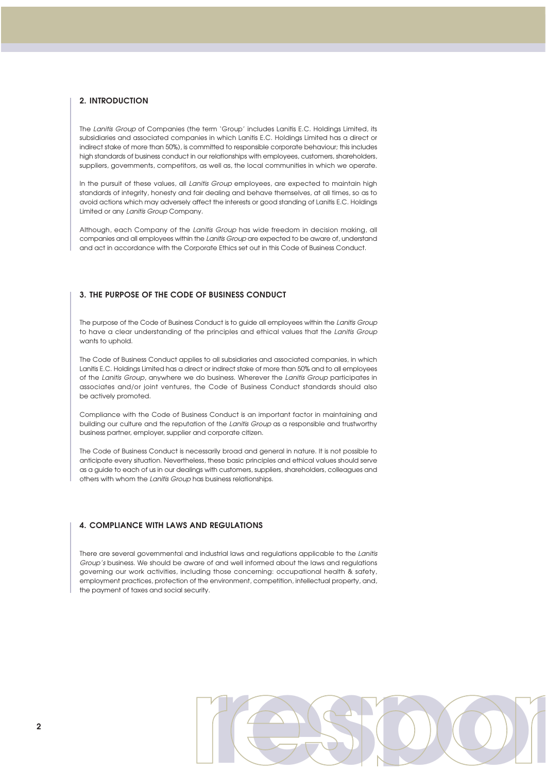#### **2. INTRODUCTION**

The *Lanitis Group* of Companies (the term 'Group' includes Lanitis E.C. Holdings Limited, its subsidiaries and associated companies in which Lanitis E.C. Holdings Limited has a direct or indirect stake of more than 50%), is committed to responsible corporate behaviour; this includes high standards of business conduct in our relationships with employees, customers, shareholders, suppliers, governments, competitors, as well as, the local communities in which we operate.

In the pursuit of these values, all *Lanitis Group* employees, are expected to maintain high standards of integrity, honesty and fair dealing and behave themselves, at all times, so as to avoid actions which may adversely affect the interests or good standing of Lanitis E.C. Holdings Limited or any *Lanitis Group* Company.

Although, each Company of the *Lanitis Group* has wide freedom in decision making, all companies and all employees within the *Lanitis Group* are expected to be aware of, understand and act in accordance with the Corporate Ethics set out in this Code of Business Conduct.

#### **3. THE PURPOSE OF THE CODE OF BUSINESS CONDUCT**

The purpose of the Code of Business Conduct is to guide all employees within the *Lanitis Group* to have a clear understanding of the principles and ethical values that the *Lanitis Group* wants to uphold.

The Code of Business Conduct applies to all subsidiaries and associated companies, in which Lanitis E.C. Holdings Limited has a direct or indirect stake of more than 50% and to all employees of the *Lanitis Group*, anywhere we do business. Wherever the *Lanitis Group* participates in associates and/or joint ventures, the Code of Business Conduct standards should also be actively promoted.

Compliance with the Code of Business Conduct is an important factor in maintaining and building our culture and the reputation of the *Lanitis Group* as a responsible and trustworthy business partner, employer, supplier and corporate citizen.

The Code of Business Conduct is necessarily broad and general in nature. It is not possible to anticipate every situation. Nevertheless, these basic principles and ethical values should serve as a guide to each of us in our dealings with customers, suppliers, shareholders, colleagues and others with whom the *Lanitis Group* has business relationships.

#### **4. COMPLIANCE WITH LAWS AND REGULATIONS**

There are several governmental and industrial laws and regulations applicable to the *Lanitis Group's* business. We should be aware of and well informed about the laws and regulations governing our work activities, including those concerning: occupational health & safety, employment practices, protection of the environment, competition, intellectual property, and, the payment of taxes and social security.

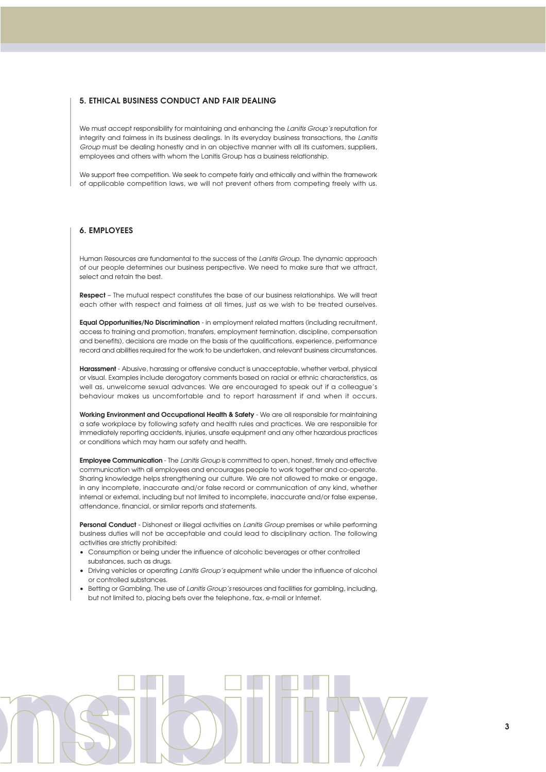#### **5. ETHICAL BUSINESS CONDUCT AND FAIR DEALING**

We must accept responsibility for maintaining and enhancing the *Lanitis Group's* reputation for integrity and fairness in its business dealings. In its everyday business transactions, the *Lanitis Group* must be dealing honestly and in an objective manner with all its customers, suppliers, employees and others with whom the Lanitis Group has a business relationship.

We support free competition. We seek to compete fairly and ethically and within the framework of applicable competition laws, we will not prevent others from competing freely with us.

#### **6. EMPLOYEES**

Human Resources are fundamental to the success of the *Lanitis Group*. The dynamic approach of our people determines our business perspective. We need to make sure that we attract, select and retain the best.

**Respect** – The mutual respect constitutes the base of our business relationships. We will treat each other with respect and fairness at all times, just as we wish to be treated ourselves.

**Equal Opportunities/No Discrimination** - in employment related matters (including recruitment, access to training and promotion, transfers, employment termination, discipline, compensation and benefits), decisions are made on the basis of the qualifications, experience, performance record and abilities required for the work to be undertaken, and relevant business circumstances.

**Harassment** - Abusive, harassing or offensive conduct is unacceptable, whether verbal, physical or visual. Examples include derogatory comments based on racial or ethnic characteristics, as well as, unwelcome sexual advances. We are encouraged to speak out if a colleague's behaviour makes us uncomfortable and to report harassment if and when it occurs.

**Working Environment and Occupational Health & Safety** - We are all responsible for maintaining a safe workplace by following safety and health rules and practices. We are responsible for immediately reporting accidents, injuries, unsafe equipment and any other hazardous practices or conditions which may harm our safety and health.

**Employee Communication** - The *Lanitis Group* is committed to open, honest, timely and effective communication with all employees and encourages people to work together and co-operate. Sharing knowledge helps strengthening our culture. We are not allowed to make or engage, in any incomplete, inaccurate and/or false record or communication of any kind, whether internal or external, including but not limited to incomplete, inaccurate and/or false expense, attendance, financial, or similar reports and statements.

**Personal Conduct** - Dishonest or illegal activities on *Lanitis Group* premises or while performing business duties will not be acceptable and could lead to disciplinary action. The following activities are strictly prohibited:

- Consumption or being under the influence of alcoholic beverages or other controlled substances, such as drugs.
- ñ Driving vehicles or operating *Lanitis Group's* equipment while under the influence of alcohol or controlled substances.
- Betting or Gambling. The use of *Lanitis Group's* resources and facilities for gambling, including, but not limited to, placing bets over the telephone, fax, e-mail or Internet.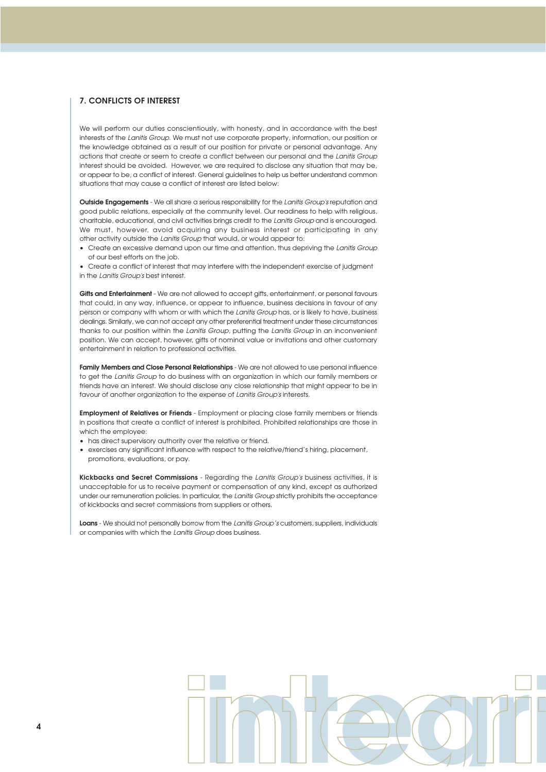#### **7. CONFLICTS OF INTEREST**

We will perform our duties conscientiously, with honesty, and in accordance with the best interests of the *Lanitis Group*. We must not use corporate property, information, our position or the knowledge obtained as a result of our position for private or personal advantage. Any actions that create or seem to create a conflict between our personal and the *Lanitis Group* interest should be avoided. However, we are required to disclose any situation that may be, or appear to be, a conflict of interest. General guidelines to help us better understand common situations that may cause a conflict of interest are listed below:

**Outside Engagements** - We all share a serious responsibility for the *Lanitis Group's* reputation and good public relations, especially at the community level. Our readiness to help with religious, charitable, educational, and civil activities brings credit to the *Lanitis Group* and is encouraged. We must, however, avoid acquiring any business interest or participating in any other activity outside the *Lanitis Group* that would, or would appear to:

- ñ Create an excessive demand upon our time and attention, thus depriving the *Lanitis Group* of our best efforts on the job.
- Create a conflict of interest that may interfere with the independent exercise of judgment in the *Lanitis Group's* best interest.

**Gifts and Entertainment** - We are not allowed to accept gifts, entertainment, or personal favours that could, in any way, influence, or appear to influence, business decisions in favour of any person or company with whom or with which the *Lanitis Group* has, or is likely to have, business dealings. Similarly, we can not accept any other preferential treatment under these circumstances thanks to our position within the *Lanitis Group*, putting the *Lanitis Group* in an inconvenient position. We can accept, however, gifts of nominal value or invitations and other customary entertainment in relation to professional activities.

**Family Members and Close Personal Relationships** - We are not allowed to use personal influence to get the *Lanitis Group* to do business with an organization in which our family members or friends have an interest. We should disclose any close relationship that might appear to be in favour of another organization to the expense of *Lanitis Group's* interests.

**Employment of Relatives or Friends** - Employment or placing close family members or friends in positions that create a conflict of interest is prohibited. Prohibited relationships are those in which the employee:

- has direct supervisory authority over the relative or friend.
- exercises any significant influence with respect to the relative/friend's hiring, placement, promotions, evaluations, or pay.

**Kickbacks and Secret Commissions** - Regarding the *Lanitis Group's* business activities, it is unacceptable for us to receive payment or compensation of any kind, except as authorized under our remuneration policies. In particular, the *Lanitis Group* strictly prohibits the acceptance of kickbacks and secret commissions from suppliers or others.

**Loans** - We should not personally borrow from the *Lanitis Group's* customers, suppliers, individuals or companies with which the *Lanitis Group* does business.

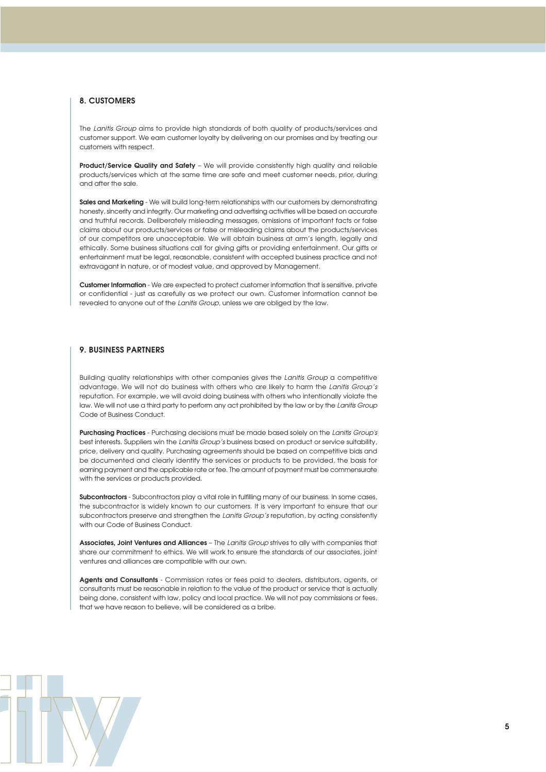#### **8. CUSTOMERS**

The *Lanitis Group* aims to provide high standards of both quality of products/services and customer support. We earn customer loyalty by delivering on our promises and by treating our customers with respect.

**Product/Service Quality and Safety** – We will provide consistently high quality and reliable products/services which at the same time are safe and meet customer needs, prior, during and after the sale.

**Sales and Marketing** - We will build long-term relationships with our customers by demonstrating honesty, sincerity and integrity. Our marketing and advertising activities will be based on accurate and truthful records. Deliberately misleading messages, omissions of important facts or false claims about our products/services or false or misleading claims about the products/services of our competitors are unacceptable. We will obtain business at arm's length, legally and ethically. Some business situations call for giving gifts or providing entertainment. Our gifts or entertainment must be legal, reasonable, consistent with accepted business practice and not extravagant in nature, or of modest value, and approved by Management.

**Customer Information** - We are expected to protect customer information that is sensitive, private or confidential - just as carefully as we protect our own. Customer information cannot be revealed to anyone out of the *Lanitis Group*, unless we are obliged by the law.

#### **9. BUSINESS PARTNERS**

Building quality relationships with other companies gives the *Lanitis Group* a competitive advantage. We will not do business with others who are likely to harm the *Lanitis Group's* reputation. For example, we will avoid doing business with others who intentionally violate the law. We will not use a third party to perform any act prohibited by the law or by the *Lanitis Group* Code of Business Conduct.

**Purchasing Practices** - Purchasing decisions must be made based solely on the *Lanitis Group's* best interests. Suppliers win the *Lanitis Group's* business based on product or service suitability, price, delivery and quality. Purchasing agreements should be based on competitive bids and be documented and clearly identify the services or products to be provided, the basis for earning payment and the applicable rate or fee. The amount of payment must be commensurate with the services or products provided.

**Subcontractors** - Subcontractors play a vital role in fulfilling many of our business. In some cases, the subcontractor is widely known to our customers. It is very important to ensure that our subcontractors preserve and strengthen the *Lanitis Group's* reputation, by acting consistently with our Code of Business Conduct.

**Associates, Joint Ventures and Alliances** – The *Lanitis Group* strives to ally with companies that share our commitment to ethics. We will work to ensure the standards of our associates, joint ventures and alliances are compatible with our own.

**Agents and Consultants** - Commission rates or fees paid to dealers, distributors, agents, or consultants must be reasonable in relation to the value of the product or service that is actually being done, consistent with law, policy and local practice. We will not pay commissions or fees, that we have reason to believe, will be considered as a bribe.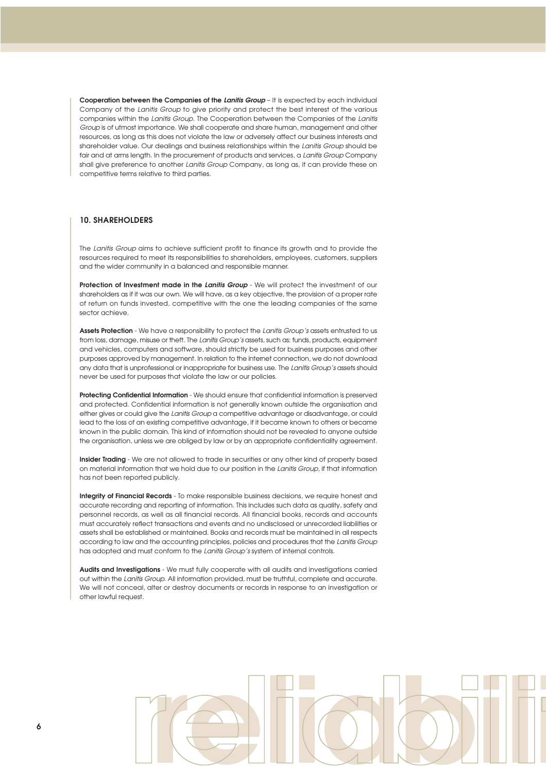**Cooperation between the Companies of the** *Lanitis Group* – It is expected by each individual Company of the *Lanitis Group* to give priority and protect the best interest of the various companies within the *Lanitis Group*. The Cooperation between the Companies of the *Lanitis Group* is of utmost importance. We shall cooperate and share human, management and other resources, as long as this does not violate the law or adversely affect our business interests and shareholder value. Our dealings and business relationships within the *Lanitis Group* should be fair and at arms length. In the procurement of products and services, a *Lanitis Group* Company shall give preference to another *Lanitis Group* Company, as long as, it can provide these on competitive terms relative to third parties.

#### **10. SHAREHOLDERS**

The *Lanitis Group* aims to achieve sufficient profit to finance its growth and to provide the resources required to meet its responsibilities to shareholders, employees, customers, suppliers and the wider community in a balanced and responsible manner.

**Protection of Investment made in the** *Lanitis Group* - We will protect the investment of our shareholders as if it was our own. We will have, as a key objective, the provision of a proper rate of return on funds invested, competitive with the one the leading companies of the same sector achieve.

**Assets Protection** - We have a responsibility to protect the *Lanitis Group's* assets entrusted to us from loss, damage, misuse or theft. The *Lanitis Group's* assets, such as: funds, products, equipment and vehicles, computers and software, should strictly be used for business purposes and other purposes approved by management. In relation to the internet connection, we do not download any data that is unprofessional or inappropriate for business use. The *Lanitis Group's* assets should never be used for purposes that violate the law or our policies.

**Protecting Confidential Information** - We should ensure that confidential information is preserved and protected. Confidential information is not generally known outside the organisation and either gives or could give the *Lanitis Group* a competitive advantage or disadvantage, or could lead to the loss of an existing competitive advantage, if it became known to others or became known in the public domain. This kind of information should not be revealed to anyone outside the organisation, unless we are obliged by law or by an appropriate confidentiality agreement.

**Insider Trading** - We are not allowed to trade in securities or any other kind of property based on material information that we hold due to our position in the *Lanitis Group,* if that information has not been reported publicly.

**Integrity of Financial Records** - To make responsible business decisions, we require honest and accurate recording and reporting of information. This includes such data as quality, safety and personnel records, as well as all financial records. All financial books, records and accounts must accurately reflect transactions and events and no undisclosed or unrecorded liabilities or assets shall be established or maintained. Books and records must be maintained in all respects according to law and the accounting principles, policies and procedures that the *Lanitis Group* has adopted and must conform to the *Lanitis Group's* system of internal controls.

**Audits and Investigations** - We must fully cooperate with all audits and investigations carried out within the *Lanitis Group*. All information provided, must be truthful, complete and accurate. We will not conceal, alter or destroy documents or records in response to an investigation or other lawful request.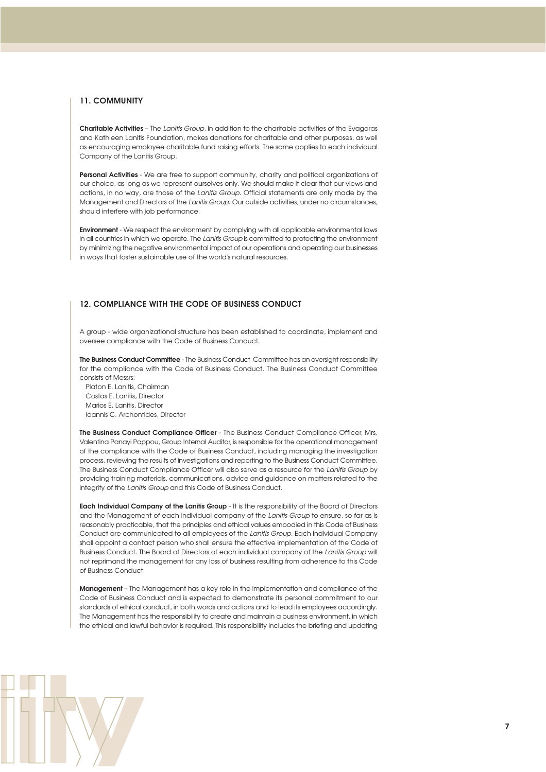#### **11. COMMUNITY**

**Charitable Activities** – The *Lanitis Group*, in addition to the charitable activities of the Evagoras and Kathleen Lanitis Foundation, makes donations for charitable and other purposes, as well as encouraging employee charitable fund raising efforts. The same applies to each individual Company of the Lanitis Group.

**Personal Activities** - We are free to support community, charity and political organizations of our choice, as long as we represent ourselves only. We should make it clear that our views and actions, in no way, are those of the *Lanitis Group*. Official statements are only made by the Management and Directors of the *Lanitis Group*. Our outside activities, under no circumstances, should interfere with job performance.

**Environment** - We respect the environment by complying with all applicable environmental laws in all countries in which we operate. The *Lanitis Group* is committed to protecting the environment by minimizing the negative environmental impact of our operations and operating our businesses in ways that foster sustainable use of the world's natural resources.

#### **12. COMPLIANCE WITH THE CODE OF BUSINESS CONDUCT**

A group - wide organizational structure has been established to coordinate, implement and oversee compliance with the Code of Business Conduct.

**The Business Conduct Committee** - The Business Conduct Committee has an oversight responsibility for the compliance with the Code of Business Conduct. The Business Conduct Committee consists of Messrs:

Platon E. Lanitis, Chairman Costas E. Lanitis, Director Marios E. Lanitis, Director Ioannis C. Archontides, Director

**The Business Conduct Compliance Officer** - The Business Conduct Compliance Officer, Mrs. Valentina Panayi Pappou, Group Internal Auditor, is responsible for the operational management of the compliance with the Code of Business Conduct, including managing the investigation process, reviewing the results of investigations and reporting to the Business Conduct Committee. The Business Conduct Compliance Officer will also serve as a resource for the *Lanitis Group* by providing training materials, communications, advice and guidance on matters related to the integrity of the *Lanitis Group* and this Code of Business Conduct.

**Each Individual Company of the Lanitis Group** - It is the responsibility of the Board of Directors and the Management of each individual company of the *Lanitis Group* to ensure, so far as is reasonably practicable, that the principles and ethical values embodied in this Code of Business Conduct are communicated to all employees of the *Lanitis Group*. Each individual Company shall appoint a contact person who shall ensure the effective implementation of the Code of Business Conduct. The Board of Directors of each individual company of the *Lanitis Group* will not reprimand the management for any loss of business resulting from adherence to this Code of Business Conduct.

**Management** – The Management has a key role in the implementation and compliance of the Code of Business Conduct and is expected to demonstrate its personal commitment to our standards of ethical conduct, in both words and actions and to lead its employees accordingly. The Management has the responsibility to create and maintain a business environment, in which the ethical and lawful behavior is required. This responsibility includes the briefing and updating

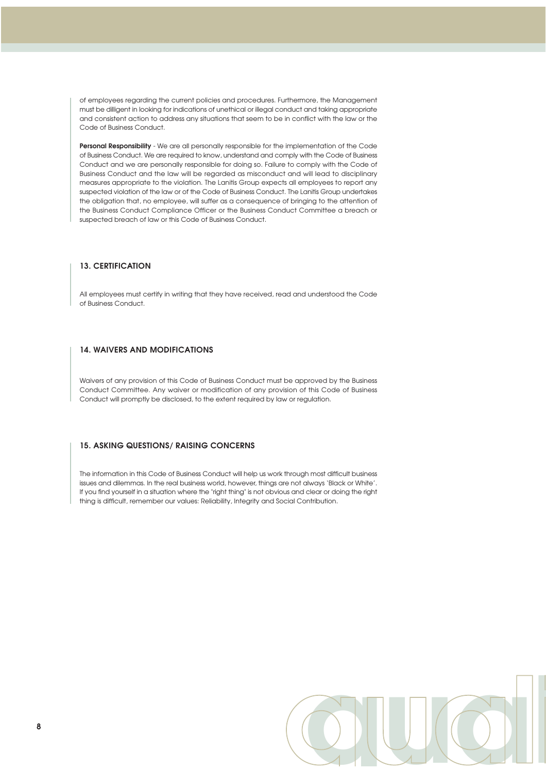of employees regarding the current policies and procedures. Furthermore, the Management must be dilligent in looking for indications of unethical or illegal conduct and taking appropriate and consistent action to address any situations that seem to be in conflict with the law or the Code of Business Conduct.

**Personal Responsibility** - We are all personally responsible for the implementation of the Code of Business Conduct. We are required to know, understand and comply with the Code of Business Conduct and we are personally responsible for doing so. Failure to comply with the Code of Business Conduct and the law will be regarded as misconduct and will lead to disciplinary measures appropriate to the violation. The Lanitis Group expects all employees to report any suspected violation of the law or of the Code of Business Conduct. The Lanitis Group undertakes the obligation that, no employee, will suffer as a consequence of bringing to the attention of the Business Conduct Compliance Officer or the Business Conduct Committee a breach or suspected breach of law or this Code of Business Conduct.

#### **13. CERTIFICATION**

All employees must certify in writing that they have received, read and understood the Code of Business Conduct.

#### **14. WAIVERS AND MODIFICATIONS**

Waivers of any provision of this Code of Business Conduct must be approved by the Business Conduct Committee. Any waiver or modification of any provision of this Code of Business Conduct will promptly be disclosed, to the extent required by law or regulation.

#### **15. ASKING QUESTIONS/ RAISING CONCERNS**

The information in this Code of Business Conduct will help us work through most difficult business issues and dilemmas. In the real business world, however, things are not always 'Black or White'. If you find yourself in a situation where the "right thing" is not obvious and clear or doing the right thing is difficult, remember our values: Reliability, Integrity and Social Contribution.

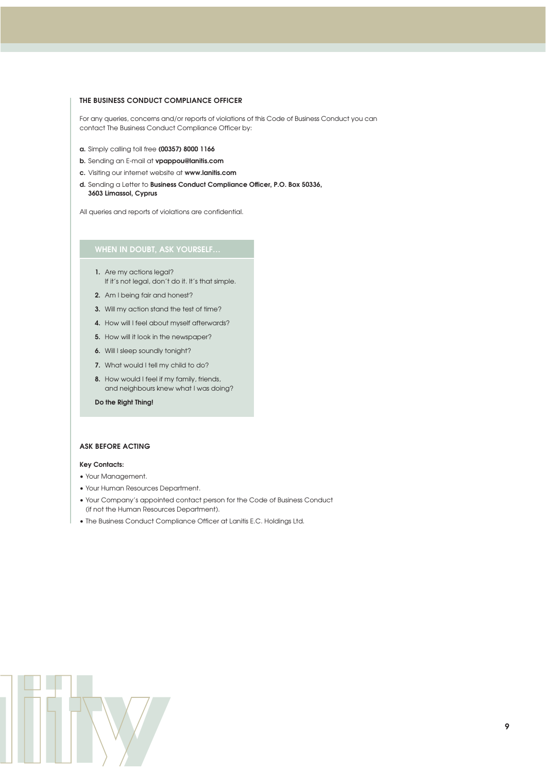#### **THE BUSINESS CONDUCT COMPLIANCE OFFICER**

For any queries, concerns and/or reports of violations of this Code of Business Conduct you can contact The Business Conduct Compliance Officer by:

- **a.** Simply calling toll free **(00357) 8000 1166**
- **b.** Sending an E-mail at **vpappou@lanitis.com**
- **c.** Visiting our internet website at **www.lanitis.com**
- **d.** Sending a Letter to **Business Conduct Compliance Officer, P.O. Box 50336, 3603 Limassol, Cyprus**

All queries and reports of violations are confidential.

#### **WHEN IN DOUBT, ASK YOURSELF…**

- **1.** Are my actions legal? If it's not legal, don't do it. It's that simple.
- **2.** Am I being fair and honest?
- **3.** Will my action stand the test of time?
- **4.** How will I feel about myself afterwards?
- **5.** How will it look in the newspaper?
- **6.** Will I sleep soundly tonight?
- **7.** What would I tell my child to do?
- **8.** How would I feel if my family, friends, and neighbours knew what I was doing?

#### **Do the Right Thing!**

#### **ASK BEFORE ACTING**

#### **Key Contacts:**

- Your Management.
- Your Human Resources Department.
- Your Company's appointed contact person for the Code of Business Conduct (if not the Human Resources Department).
- The Business Conduct Compliance Officer at Lanitis E.C. Holdings Ltd.